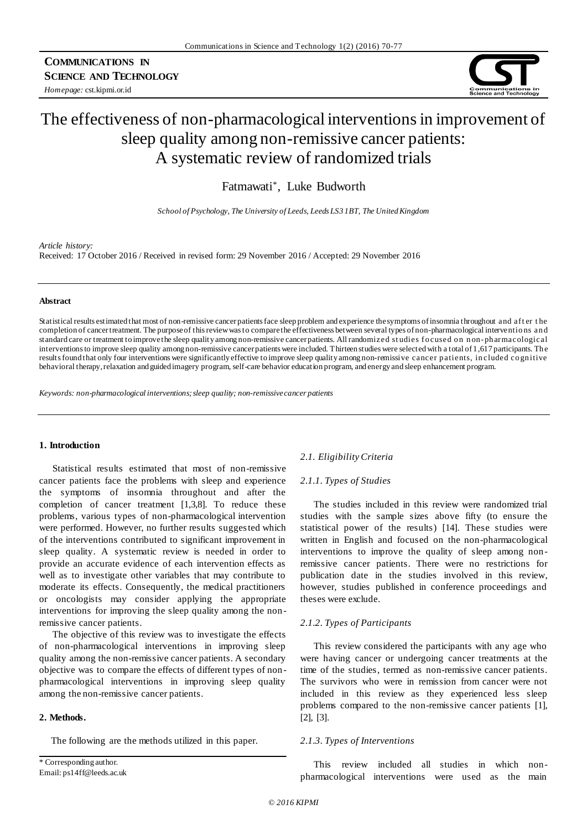*Homepage:* cst.kipmi.or.id



# The effectiveness of non-pharmacological interventions in improvement of sleep quality among non-remissive cancer patients: A systematic review of randomized trials

Fatmawati\* , Luke Budworth

*School of Psychology, The University of Leeds, Leeds LS3 1BT, The United Kingdom*

#### *Article history:*

Received: 17 October 2016 / Received in revised form: 29 November 2016 / Accepted: 29 November 2016

#### **Abstract**

Statistical results estimated that most of non-remissive cancer patients face sleep problem and experience the symptoms of insomnia throughout and aft er t he completion of cancer treatment. The purpose of this review was to compare the effectiveness between several types of non-pharmacological interventio ns an d standard care or treatment to improve the sleep quality among non-remissive cancer patients. All randomized studies focused on non-ph armacological interventions to improve sleep quality among non-remissive cancer patients were included. Thirteen studies were selected with a total of 1,617 participants. Th e results found that only four interventions were significantly effective to improve sleep quality among non-remissive cancer patients, in cluded cognitive behavioral therapy, relaxation and guided imagery program, self-care behavior education program, and energy and sleep enhancement program.

*Keywords: non-pharmacological interventions; sleep quality; non-remissive cancer patients*

#### **1. Introduction**

Statistical results estimated that most of non-remissive cancer patients face the problems with sleep and experience the symptoms of insomnia throughout and after the completion of cancer treatment [1,3,8]. To reduce these problems, various types of non-pharmacological intervention were performed. However, no further results suggested which of the interventions contributed to significant improvement in sleep quality. A systematic review is needed in order to provide an accurate evidence of each intervention effects as well as to investigate other variables that may contribute to moderate its effects. Consequently, the medical practitioners or oncologists may consider applying the appropriate interventions for improving the sleep quality among the nonremissive cancer patients.

The objective of this review was to investigate the effects of non-pharmacological interventions in improving sleep quality among the non-remissive cancer patients. A secondary objective was to compare the effects of different types of nonpharmacological interventions in improving sleep quality among the non-remissive cancer patients.

# **2. Methods.**

The following are the methods utilized in this paper.

\* Corresponding author. Email: ps14ff@leeds.ac.uk

## *2.1. Eligibility Criteria*

#### *2.1.1. Types of Studies*

The studies included in this review were randomized trial studies with the sample sizes above fifty (to ensure the statistical power of the results) [14]. These studies were written in English and focused on the non-pharmacological interventions to improve the quality of sleep among nonremissive cancer patients. There were no restrictions for publication date in the studies involved in this review, however, studies published in conference proceedings and theses were exclude.

## *2.1.2. Types of Participants*

This review considered the participants with any age who were having cancer or undergoing cancer treatments at the time of the studies, termed as non-remissive cancer patients. The survivors who were in remission from cancer were not included in this review as they experienced less sleep problems compared to the non-remissive cancer patients [1], [2], [3].

#### *2.1.3. Types of Interventions*

This review included all studies in which nonpharmacological interventions were used as the main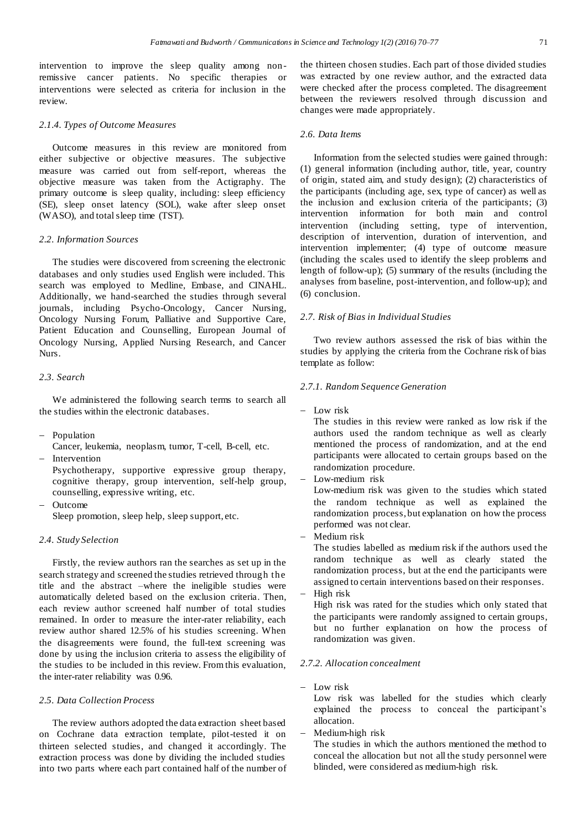intervention to improve the sleep quality among nonremissive cancer patients. No specific therapies or interventions were selected as criteria for inclusion in the review.

# *2.1.4. Types of Outcome Measures*

Outcome measures in this review are monitored from either subjective or objective measures. The subjective measure was carried out from self-report, whereas the objective measure was taken from the Actigraphy. The primary outcome is sleep quality, including: sleep efficiency (SE), sleep onset latency (SOL), wake after sleep onset (WASO), and total sleep time (TST).

## *2.2. Information Sources*

The studies were discovered from screening the electronic databases and only studies used English were included. This search was employed to Medline, Embase, and CINAHL. Additionally, we hand-searched the studies through several journals, including Psycho-Oncology, Cancer Nursing, Oncology Nursing Forum, Palliative and Supportive Care, Patient Education and Counselling, European Journal of Oncology Nursing, Applied Nursing Research, and Cancer Nurs.

# *2.3. Search*

We administered the following search terms to search all the studies within the electronic databases.

- Population
- Cancer, leukemia, neoplasm, tumor, T-cell, B-cell, etc.
- Intervention

Psychotherapy, supportive expressive group therapy, cognitive therapy, group intervention, self-help group, counselling, expressive writing, etc.

 Outcome Sleep promotion, sleep help, sleep support, etc.

## *2.4. Study Selection*

Firstly, the review authors ran the searches as set up in the search strategy and screened the studies retrieved through the title and the abstract –where the ineligible studies were automatically deleted based on the exclusion criteria. Then, each review author screened half number of total studies remained. In order to measure the inter-rater reliability, each review author shared 12.5% of his studies screening. When the disagreements were found, the full-text screening was done by using the inclusion criteria to assess the eligibility of the studies to be included in this review. From this evaluation, the inter-rater reliability was 0.96.

## *2.5. Data Collection Process*

The review authors adopted the data extraction sheet based on Cochrane data extraction template, pilot-tested it on thirteen selected studies, and changed it accordingly. The extraction process was done by dividing the included studies into two parts where each part contained half of the number of the thirteen chosen studies. Each part of those divided studies was extracted by one review author, and the extracted data were checked after the process completed. The disagreement between the reviewers resolved through discussion and changes were made appropriately.

## *2.6. Data Items*

Information from the selected studies were gained through: (1) general information (including author, title, year, country of origin, stated aim, and study design); (2) characteristics of the participants (including age, sex, type of cancer) as well as the inclusion and exclusion criteria of the participants; (3) intervention information for both main and control intervention (including setting, type of intervention, description of intervention, duration of intervention, and intervention implementer; (4) type of outcome measure (including the scales used to identify the sleep problems and length of follow-up); (5) summary of the results (including the analyses from baseline, post-intervention, and follow-up); and (6) conclusion.

## *2.7. Risk of Bias in Individual Studies*

Two review authors assessed the risk of bias within the studies by applying the criteria from the Cochrane risk of bias template as follow:

#### *2.7.1. Random Sequence Generation*

 $-$  Low risk

The studies in this review were ranked as low risk if the authors used the random technique as well as clearly mentioned the process of randomization, and at the end participants were allocated to certain groups based on the randomization procedure.

Low-medium risk

Low-medium risk was given to the studies which stated the random technique as well as explained the randomization process, but explanation on how the process performed was not clear.

Medium risk

The studies labelled as medium risk if the authors used the random technique as well as clearly stated the randomization process, but at the end the participants were assigned to certain interventions based on their responses.

High risk

High risk was rated for the studies which only stated that the participants were randomly assigned to certain groups, but no further explanation on how the process of randomization was given.

## *2.7.2. Allocation concealment*

 $-$  Low risk

Low risk was labelled for the studies which clearly explained the process to conceal the participant's allocation.

- Medium-high risk

The studies in which the authors mentioned the method to conceal the allocation but not all the study personnel were blinded, were considered as medium-high risk.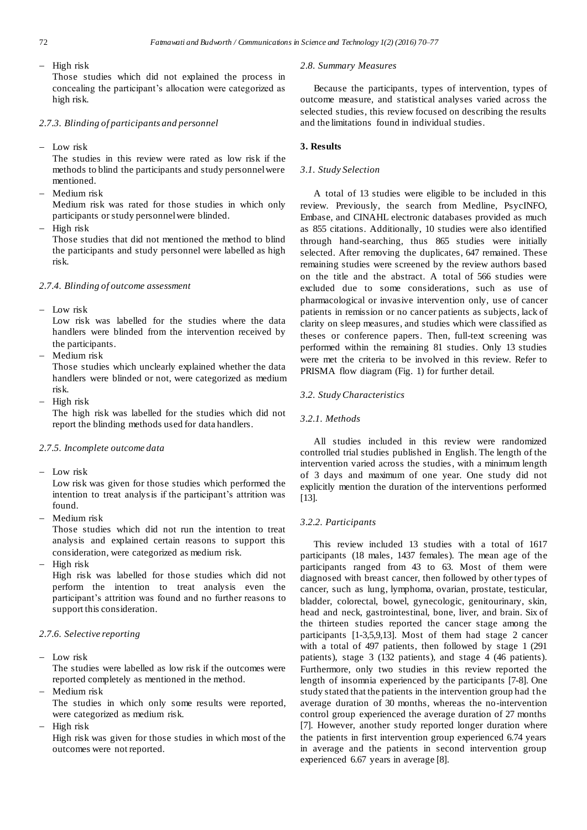High risk

Those studies which did not explained the process in concealing the participant's allocation were categorized as high risk.

# *2.7.3. Blinding of participants and personnel*

- Low risk

The studies in this review were rated as low risk if the methods to blind the participants and study personnel were mentioned.

- Medium risk Medium risk was rated for those studies in which only participants or study personnel were blinded.
- $-$  High risk

Those studies that did not mentioned the method to blind the participants and study personnel were labelled as high risk.

#### *2.7.4. Blinding of outcome assessment*

Low risk

Low risk was labelled for the studies where the data handlers were blinded from the intervention received by the participants.

Medium risk

Those studies which unclearly explained whether the data handlers were blinded or not, were categorized as medium risk.

 $-$  High risk

The high risk was labelled for the studies which did not report the blinding methods used for data handlers.

# *2.7.5. Incomplete outcome data*

 $-$  Low risk

Low risk was given for those studies which performed the intention to treat analysis if the participant's attrition was found.

Medium risk

Those studies which did not run the intention to treat analysis and explained certain reasons to support this consideration, were categorized as medium risk.

High risk

High risk was labelled for those studies which did not perform the intention to treat analysis even the participant's attrition was found and no further reasons to support this consideration.

# *2.7.6. Selective reporting*

 $-$  Low risk

The studies were labelled as low risk if the outcomes were reported completely as mentioned in the method.

Medium risk

The studies in which only some results were reported, were categorized as medium risk.

High risk

High risk was given for those studies in which most of the outcomes were not reported.

#### *2.8. Summary Measures*

Because the participants, types of intervention, types of outcome measure, and statistical analyses varied across the selected studies, this review focused on describing the results and the limitations found in individual studies.

## **3. Results**

## *3.1. Study Selection*

A total of 13 studies were eligible to be included in this review. Previously, the search from Medline, PsycINFO, Embase, and CINAHL electronic databases provided as much as 855 citations. Additionally, 10 studies were also identified through hand-searching, thus 865 studies were initially selected. After removing the duplicates, 647 remained. These remaining studies were screened by the review authors based on the title and the abstract. A total of 566 studies were excluded due to some considerations, such as use of pharmacological or invasive intervention only, use of cancer patients in remission or no cancer patients as subjects, lack of clarity on sleep measures, and studies which were classified as theses or conference papers. Then, full-text screening was performed within the remaining 81 studies. Only 13 studies were met the criteria to be involved in this review. Refer to PRISMA flow diagram (Fig. 1) for further detail.

## *3.2. Study Characteristics*

# *3.2.1. Methods*

All studies included in this review were randomized controlled trial studies published in English. The length of the intervention varied across the studies, with a minimum length of 3 days and maximum of one year. One study did not explicitly mention the duration of the interventions performed [13].

## *3.2.2. Participants*

This review included 13 studies with a total of 1617 participants (18 males, 1437 females). The mean age of the participants ranged from 43 to 63. Most of them were diagnosed with breast cancer, then followed by other types of cancer, such as lung, lymphoma, ovarian, prostate, testicular, bladder, colorectal, bowel, gynecologic, genitourinary, skin, head and neck, gastrointestinal, bone, liver, and brain. Six of the thirteen studies reported the cancer stage among the participants [1-3,5,9,13]. Most of them had stage 2 cancer with a total of 497 patients, then followed by stage 1 (291 patients), stage 3 (132 patients), and stage 4 (46 patients). Furthermore, only two studies in this review reported the length of insomnia experienced by the participants [7-8]. One study stated that the patients in the intervention group had the average duration of 30 months, whereas the no-intervention control group experienced the average duration of 27 months [7]. However, another study reported longer duration where the patients in first intervention group experienced 6.74 years in average and the patients in second intervention group experienced 6.67 years in average [8].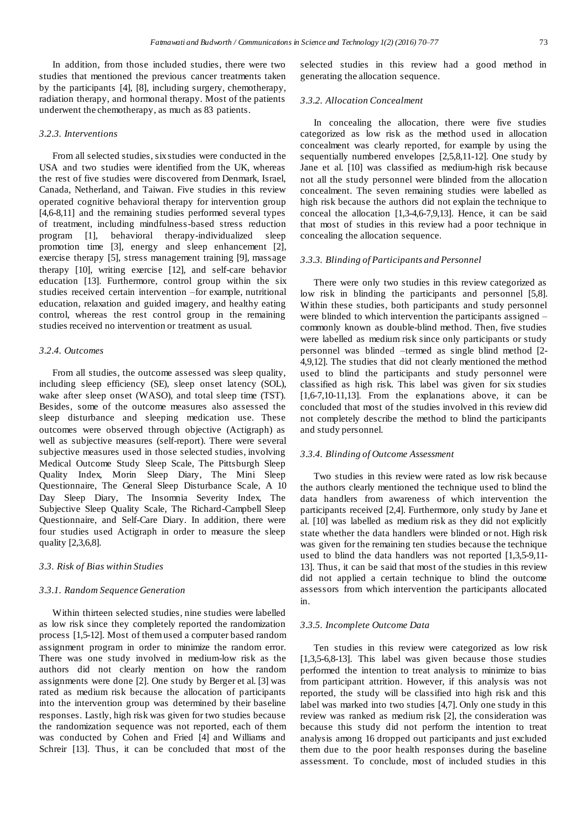In addition, from those included studies, there were two studies that mentioned the previous cancer treatments taken by the participants [4], [8], including surgery, chemotherapy, radiation therapy, and hormonal therapy. Most of the patients underwent the chemotherapy, as much as 83 patients.

#### *3.2.3. Interventions*

From all selected studies, six studies were conducted in the USA and two studies were identified from the UK, whereas the rest of five studies were discovered from Denmark, Israel, Canada, Netherland, and Taiwan. Five studies in this review operated cognitive behavioral therapy for intervention group [4,6-8,11] and the remaining studies performed several types of treatment, including mindfulness-based stress reduction program [1], behavioral therapy-individualized sleep promotion time [3], energy and sleep enhancement [2], exercise therapy [5], stress management training [9], massage therapy [10], writing exercise [12], and self-care behavior education [13]. Furthermore, control group within the six studies received certain intervention –for example, nutritional education, relaxation and guided imagery, and healthy eating control, whereas the rest control group in the remaining studies received no intervention or treatment as usual.

# *3.2.4. Outcomes*

From all studies, the outcome assessed was sleep quality, including sleep efficiency (SE), sleep onset latency (SOL), wake after sleep onset (WASO), and total sleep time (TST). Besides, some of the outcome measures also assessed the sleep disturbance and sleeping medication use. These outcomes were observed through objective (Actigraph) as well as subjective measures (self-report). There were several subjective measures used in those selected studies, involving Medical Outcome Study Sleep Scale, The Pittsburgh Sleep Quality Index, Morin Sleep Diary, The Mini Sleep Questionnaire, The General Sleep Disturbance Scale, A 10 Day Sleep Diary, The Insomnia Severity Index, The Subjective Sleep Quality Scale, The Richard-Campbell Sleep Questionnaire, and Self-Care Diary. In addition, there were four studies used Actigraph in order to measure the sleep quality [2,3,6,8].

# *3.3. Risk of Bias within Studies*

#### *3.3.1. Random Sequence Generation*

Within thirteen selected studies, nine studies were labelled as low risk since they completely reported the randomization process [1,5-12]. Most of them used a computer based random assignment program in order to minimize the random error. There was one study involved in medium-low risk as the authors did not clearly mention on how the random assignments were done [2]. One study by Berger et al. [3] was rated as medium risk because the allocation of participants into the intervention group was determined by their baseline responses. Lastly, high risk was given for two studies because the randomization sequence was not reported, each of them was conducted by Cohen and Fried [4] and Williams and Schreir [13]. Thus, it can be concluded that most of the

selected studies in this review had a good method in generating the allocation sequence.

#### *3.3.2. Allocation Concealment*

In concealing the allocation, there were five studies categorized as low risk as the method used in allocation concealment was clearly reported, for example by using the sequentially numbered envelopes [2,5,8,11-12]. One study by Jane et al. [10] was classified as medium-high risk because not all the study personnel were blinded from the allocation concealment. The seven remaining studies were labelled as high risk because the authors did not explain the technique to conceal the allocation [1,3-4,6-7,9,13]. Hence, it can be said that most of studies in this review had a poor technique in concealing the allocation sequence.

## *3.3.3. Blinding of Participants and Personnel*

There were only two studies in this review categorized as low risk in blinding the participants and personnel [5,8]. Within these studies, both participants and study personnel were blinded to which intervention the participants assigned – commonly known as double-blind method. Then, five studies were labelled as medium risk since only participants or study personnel was blinded –termed as single blind method [2- 4,9,12]. The studies that did not clearly mentioned the method used to blind the participants and study personnel were classified as high risk. This label was given for six studies [1,6-7,10-11,13]. From the explanations above, it can be concluded that most of the studies involved in this review did not completely describe the method to blind the participants and study personnel.

#### *3.3.4. Blinding of Outcome Assessment*

Two studies in this review were rated as low risk because the authors clearly mentioned the technique used to blind the data handlers from awareness of which intervention the participants received [2,4]. Furthermore, only study by Jane et al. [10] was labelled as medium risk as they did not explicitly state whether the data handlers were blinded or not. High risk was given for the remaining ten studies because the technique used to blind the data handlers was not reported [1,3,5-9,11- 13]. Thus, it can be said that most of the studies in this review did not applied a certain technique to blind the outcome assessors from which intervention the participants allocated in.

## *3.3.5. Incomplete Outcome Data*

Ten studies in this review were categorized as low risk [1,3,5-6,8-13]. This label was given because those studies performed the intention to treat analysis to minimize to bias from participant attrition. However, if this analysis was not reported, the study will be classified into high risk and this label was marked into two studies [4,7]. Only one study in this review was ranked as medium risk [2], the consideration was because this study did not perform the intention to treat analysis among 16 dropped out participants and just excluded them due to the poor health responses during the baseline assessment. To conclude, most of included studies in this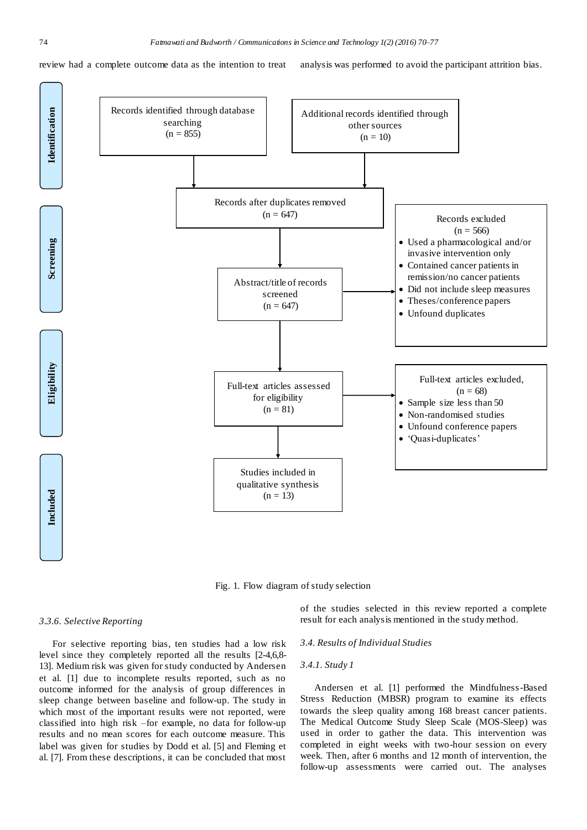review had a complete outcome data as the intention to treat analysis was performed to avoid the participant attrition bias.



Fig. 1. Flow diagram of study selection

#### *3.3.6. Selective Reporting*

For selective reporting bias, ten studies had a low risk level since they completely reported all the results [2-4,6,8- 13]. Medium risk was given for study conducted by Andersen et al. [1] due to incomplete results reported, such as no outcome informed for the analysis of group differences in sleep change between baseline and follow-up. The study in which most of the important results were not reported, were classified into high risk –for example, no data for follow-up results and no mean scores for each outcome measure. This label was given for studies by Dodd et al. [5] and Fleming et al. [7]. From these descriptions, it can be concluded that most

of the studies selected in this review reported a complete result for each analysis mentioned in the study method.

## *3.4. Results of Individual Studies*

# *3.4.1. Study 1*

Andersen et al. [1] performed the Mindfulness-Based Stress Reduction (MBSR) program to examine its effects towards the sleep quality among 168 breast cancer patients. The Medical Outcome Study Sleep Scale (MOS-Sleep) was used in order to gather the data. This intervention was completed in eight weeks with two-hour session on every week. Then, after 6 months and 12 month of intervention, the follow-up assessments were carried out. The analyses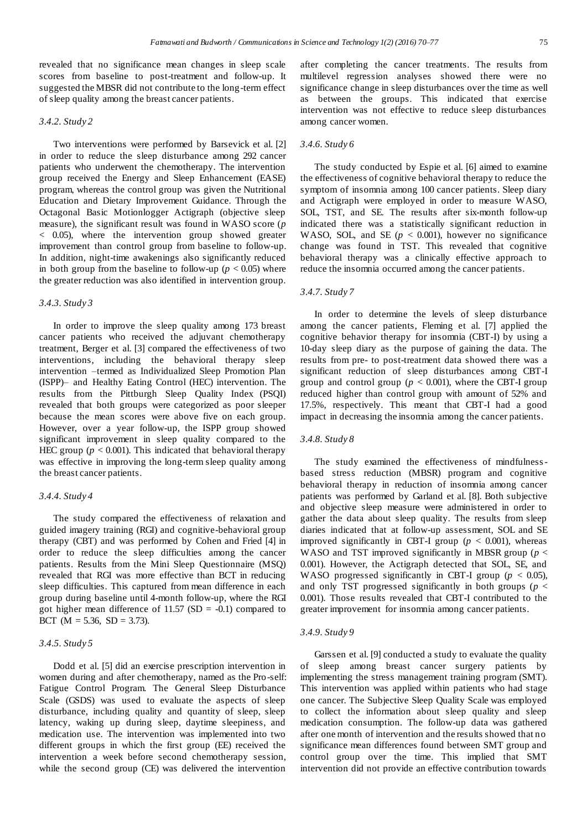revealed that no significance mean changes in sleep scale scores from baseline to post-treatment and follow-up. It suggested the MBSR did not contribute to the long-term effect of sleep quality among the breast cancer patients.

#### *3.4.2. Study 2*

Two interventions were performed by Barsevick et al. [2] in order to reduce the sleep disturbance among 292 cancer patients who underwent the chemotherapy. The intervention group received the Energy and Sleep Enhancement (EASE) program, whereas the control group was given the Nutritional Education and Dietary Improvement Guidance. Through the Octagonal Basic Motionlogger Actigraph (objective sleep measure), the significant result was found in WASO score (*p* < 0.05), where the intervention group showed greater improvement than control group from baseline to follow-up. In addition, night-time awakenings also significantly reduced in both group from the baseline to follow-up ( $p < 0.05$ ) where the greater reduction was also identified in intervention group.

#### *3.4.3. Study 3*

In order to improve the sleep quality among 173 breast cancer patients who received the adjuvant chemotherapy treatment, Berger et al. [3] compared the effectiveness of two interventions, including the behavioral therapy sleep intervention –termed as Individualized Sleep Promotion Plan (ISPP)– and Healthy Eating Control (HEC) intervention. The results from the Pittburgh Sleep Quality Index (PSQI) revealed that both groups were categorized as poor sleeper because the mean scores were above five on each group. However, over a year follow-up, the ISPP group showed significant improvement in sleep quality compared to the HEC group ( $p < 0.001$ ). This indicated that behavioral therapy was effective in improving the long-term sleep quality among the breast cancer patients.

#### *3.4.4. Study 4*

The study compared the effectiveness of relaxation and guided imagery training (RGI) and cognitive-behavioral group therapy (CBT) and was performed by Cohen and Fried [4] in order to reduce the sleep difficulties among the cancer patients. Results from the Mini Sleep Questionnaire (MSQ) revealed that RGI was more effective than BCT in reducing sleep difficulties. This captured from mean difference in each group during baseline until 4-month follow-up, where the RGI got higher mean difference of  $11.57$  (SD = -0.1) compared to BCT ( $M = 5.36$ ,  $SD = 3.73$ ).

# *3.4.5. Study 5*

Dodd et al. [5] did an exercise prescription intervention in women during and after chemotherapy, named as the Pro-self: Fatigue Control Program. The General Sleep Disturbance Scale (GSDS) was used to evaluate the aspects of sleep disturbance, including quality and quantity of sleep, sleep latency, waking up during sleep, daytime sleepiness, and medication use. The intervention was implemented into two different groups in which the first group (EE) received the intervention a week before second chemotherapy session, while the second group (CE) was delivered the intervention

after completing the cancer treatments. The results from multilevel regression analyses showed there were no significance change in sleep disturbances over the time as well as between the groups. This indicated that exercise intervention was not effective to reduce sleep disturbances among cancer women.

#### *3.4.6. Study 6*

The study conducted by Espie et al. [6] aimed to examine the effectiveness of cognitive behavioral therapy to reduce the symptom of insomnia among 100 cancer patients. Sleep diary and Actigraph were employed in order to measure WASO, SOL, TST, and SE. The results after six-month follow-up indicated there was a statistically significant reduction in WASO, SOL, and SE  $(p < 0.001)$ , however no significance change was found in TST. This revealed that cognitive behavioral therapy was a clinically effective approach to reduce the insomnia occurred among the cancer patients.

#### *3.4.7. Study 7*

In order to determine the levels of sleep disturbance among the cancer patients, Fleming et al. [7] applied the cognitive behavior therapy for insomnia (CBT-I) by using a 10-day sleep diary as the purpose of gaining the data. The results from pre- to post-treatment data showed there was a significant reduction of sleep disturbances among CBT-I group and control group ( $p < 0.001$ ), where the CBT-I group reduced higher than control group with amount of 52% and 17.5%, respectively. This meant that CBT-I had a good impact in decreasing the insomnia among the cancer patients.

#### *3.4.8. Study 8*

The study examined the effectiveness of mindfulnessbased stress reduction (MBSR) program and cognitive behavioral therapy in reduction of insomnia among cancer patients was performed by Garland et al. [8]. Both subjective and objective sleep measure were administered in order to gather the data about sleep quality. The results from sleep diaries indicated that at follow-up assessment, SOL and SE improved significantly in CBT-I group ( $p < 0.001$ ), whereas WASO and TST improved significantly in MBSR group (*p* < 0.001). However, the Actigraph detected that SOL, SE, and WASO progressed significantly in CBT-I group ( $p < 0.05$ ), and only TST progressed significantly in both groups (*p* < 0.001). Those results revealed that CBT-I contributed to the greater improvement for insomnia among cancer patients.

#### *3.4.9. Study 9*

Garssen et al. [9] conducted a study to evaluate the quality of sleep among breast cancer surgery patients by implementing the stress management training program (SMT). This intervention was applied within patients who had stage one cancer. The Subjective Sleep Quality Scale was employed to collect the information about sleep quality and sleep medication consumption. The follow-up data was gathered after one month of intervention and the results showed that no significance mean differences found between SMT group and control group over the time. This implied that SMT intervention did not provide an effective contribution towards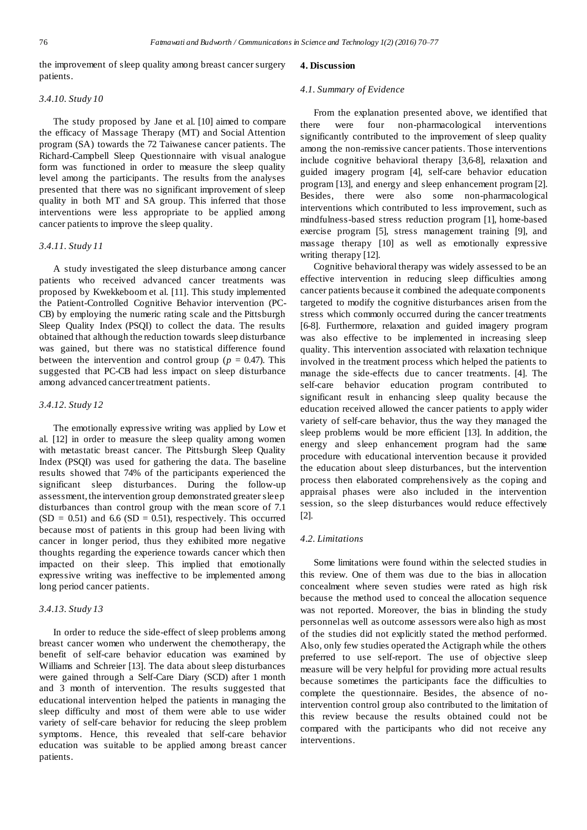the improvement of sleep quality among breast cancer surgery patients.

#### *3.4.10. Study 10*

The study proposed by Jane et al. [10] aimed to compare the efficacy of Massage Therapy (MT) and Social Attention program (SA) towards the 72 Taiwanese cancer patients. The Richard-Campbell Sleep Questionnaire with visual analogue form was functioned in order to measure the sleep quality level among the participants. The results from the analyses presented that there was no significant improvement of sleep quality in both MT and SA group. This inferred that those interventions were less appropriate to be applied among cancer patients to improve the sleep quality.

## *3.4.11. Study 11*

A study investigated the sleep disturbance among cancer patients who received advanced cancer treatments was proposed by Kwekkeboom et al. [11]. This study implemented the Patient-Controlled Cognitive Behavior intervention (PC-CB) by employing the numeric rating scale and the Pittsburgh Sleep Quality Index (PSQI) to collect the data. The results obtained that although the reduction towards sleep disturbance was gained, but there was no statistical difference found between the intervention and control group ( $p = 0.47$ ). This suggested that PC-CB had less impact on sleep disturbance among advanced cancer treatment patients.

## *3.4.12. Study 12*

The emotionally expressive writing was applied by Low et al. [12] in order to measure the sleep quality among women with metastatic breast cancer. The Pittsburgh Sleep Quality Index (PSQI) was used for gathering the data. The baseline results showed that 74% of the participants experienced the significant sleep disturbances. During the follow-up assessment, the intervention group demonstrated greater sleep disturbances than control group with the mean score of 7.1  $(SD = 0.51)$  and 6.6  $(SD = 0.51)$ , respectively. This occurred because most of patients in this group had been living with cancer in longer period, thus they exhibited more negative thoughts regarding the experience towards cancer which then impacted on their sleep. This implied that emotionally expressive writing was ineffective to be implemented among long period cancer patients.

# *3.4.13. Study 13*

In order to reduce the side-effect of sleep problems among breast cancer women who underwent the chemotherapy, the benefit of self-care behavior education was examined by Williams and Schreier [13]. The data about sleep disturbances were gained through a Self-Care Diary (SCD) after 1 month and 3 month of intervention. The results suggested that educational intervention helped the patients in managing the sleep difficulty and most of them were able to use wider variety of self-care behavior for reducing the sleep problem symptoms. Hence, this revealed that self-care behavior education was suitable to be applied among breast cancer patients.

#### **4. Discussion**

#### *4.1. Summary of Evidence*

From the explanation presented above, we identified that there were four non-pharmacological interventions significantly contributed to the improvement of sleep quality among the non-remissive cancer patients. Those interventions include cognitive behavioral therapy [3,6-8], relaxation and guided imagery program [4], self-care behavior education program [13], and energy and sleep enhancement program [2]. Besides, there were also some non-pharmacological interventions which contributed to less improvement, such as mindfulness-based stress reduction program [1], home-based exercise program [5], stress management training [9], and massage therapy [10] as well as emotionally expressive writing therapy [12].

Cognitive behavioral therapy was widely assessed to be an effective intervention in reducing sleep difficulties among cancer patients because it combined the adequate components targeted to modify the cognitive disturbances arisen from the stress which commonly occurred during the cancer treatments [6-8]. Furthermore, relaxation and guided imagery program was also effective to be implemented in increasing sleep quality. This intervention associated with relaxation technique involved in the treatment process which helped the patients to manage the side-effects due to cancer treatments. [4]. The self-care behavior education program contributed to significant result in enhancing sleep quality because the education received allowed the cancer patients to apply wider variety of self-care behavior, thus the way they managed the sleep problems would be more efficient [13]. In addition, the energy and sleep enhancement program had the same procedure with educational intervention because it provided the education about sleep disturbances, but the intervention process then elaborated comprehensively as the coping and appraisal phases were also included in the intervention session, so the sleep disturbances would reduce effectively [2].

## *4.2. Limitations*

Some limitations were found within the selected studies in this review. One of them was due to the bias in allocation concealment where seven studies were rated as high risk because the method used to conceal the allocation sequence was not reported. Moreover, the bias in blinding the study personnel as well as outcome assessors were also high as most of the studies did not explicitly stated the method performed. Also, only few studies operated the Actigraph while the others preferred to use self-report. The use of objective sleep measure will be very helpful for providing more actual results because sometimes the participants face the difficulties to complete the questionnaire. Besides, the absence of nointervention control group also contributed to the limitation of this review because the results obtained could not be compared with the participants who did not receive any interventions.